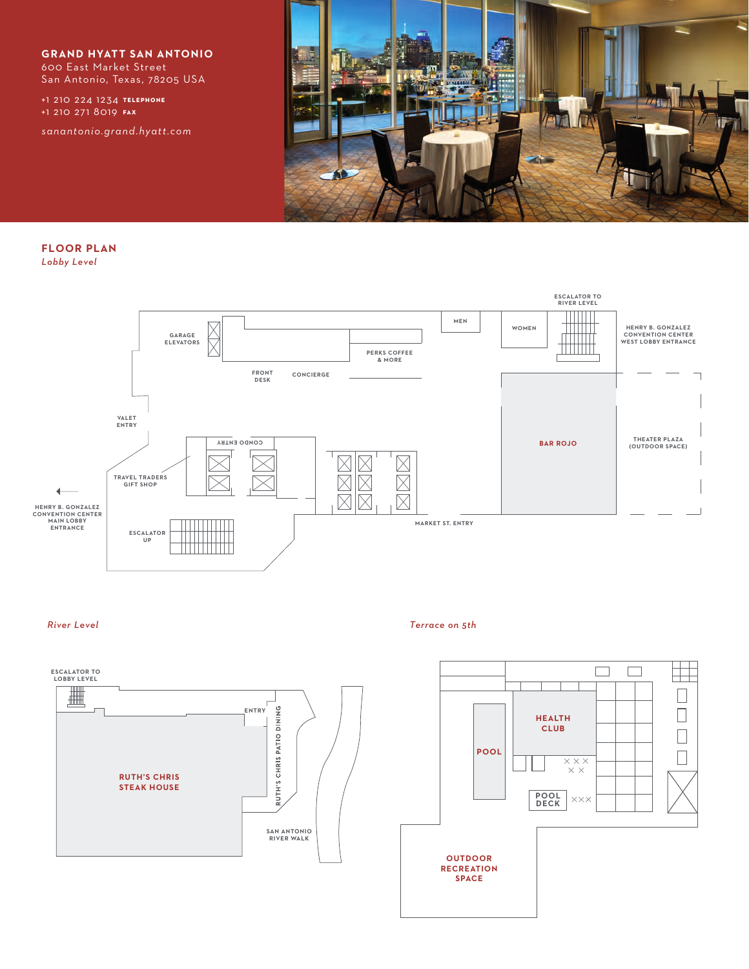**GRAND HYATT SAN ANTONIO** 600 East Market Street

San Antonio, Texas, 78205 USA

**telephone** +1 210 224 1234 **fax** +1 210 271 8019

*sanantonio.grand.hyatt.com*



**FLOOR PLAN** *Lobby Level*



## *River Level*



*Terrace on 5th*

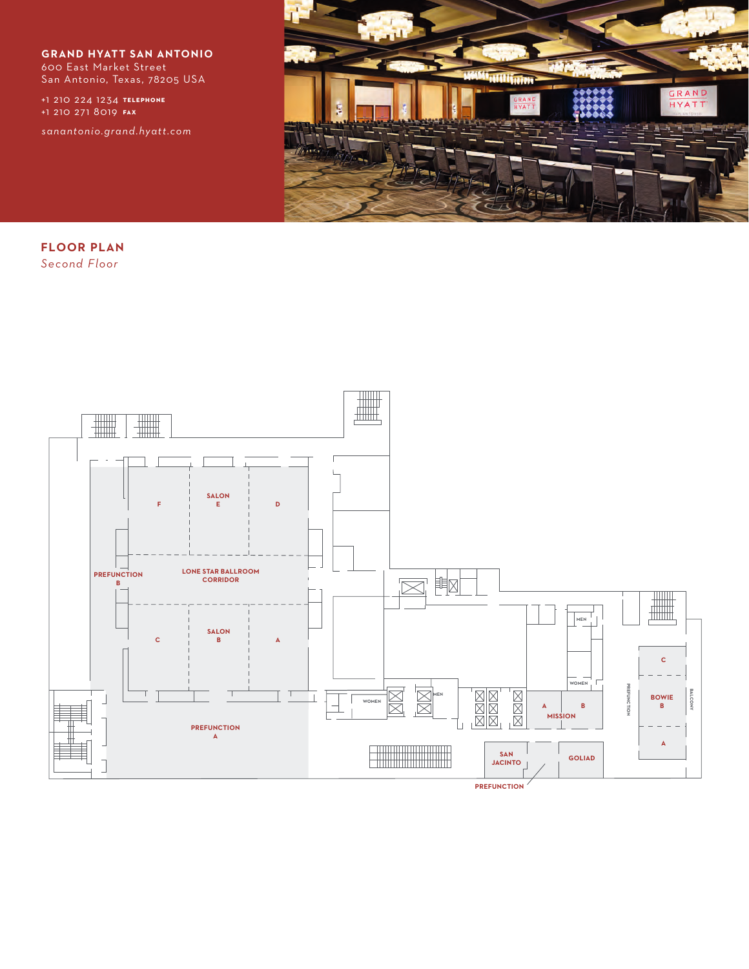**GRAND HYATT SAN ANTONIO** 600 East Market Street San Antonio, Texas, 78205 USA

**telephone** +1 210 224 1234 **fax** +1 210 271 8019

*sanantonio.grand.hyatt.com*



**FLOOR PLAN** *Second Floor*